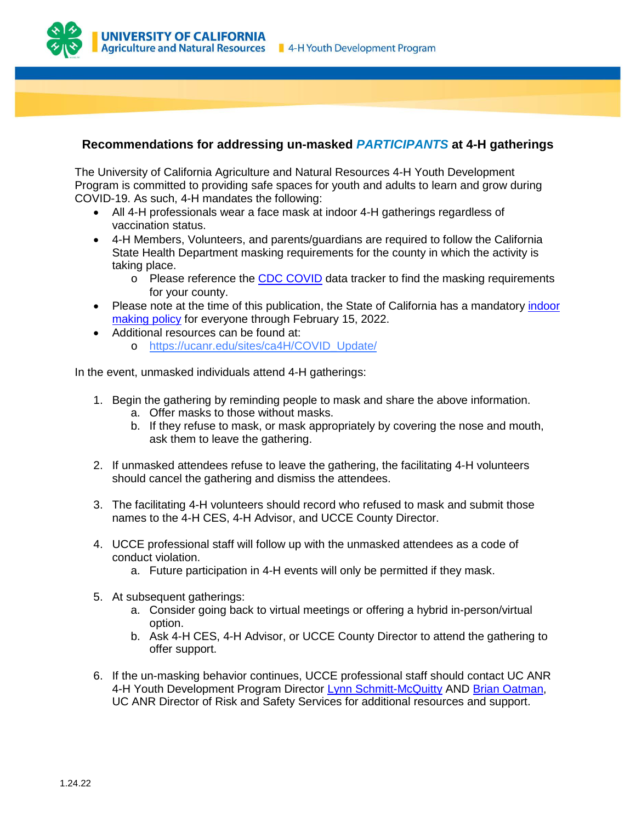## **Recommendations for addressing un-masked** *PARTICIPANTS* **at 4-H gatherings**

The University of California Agriculture and Natural Resources 4-H Youth Development Program is committed to providing safe spaces for youth and adults to learn and grow during COVID-19. As such, 4-H mandates the following:

- All 4-H professionals wear a face mask at indoor 4-H gatherings regardless of vaccination status.
- 4-H Members, Volunteers, and parents/guardians are required to follow the California State Health Department masking requirements for the county in which the activity is taking place.
	- o Please reference the [CDC COVID](https://covid.cdc.gov/covid-data-tracker/#county-view?list_select_state=all_states&list_select_county=all_counties&data-type=Risk) data tracker to find the masking requirements for your county.
- Please note at the time of this publication, the State of California has a mandatory indoor [making policy](https://www.cdph.ca.gov/Programs/CID/DCDC/Pages/COVID-19/guidance-for-face-coverings.aspx) for everyone through February 15, 2022.
- Additional resources can be found at:
	- o [https://ucanr.edu/sites/ca4H/COVID\\_Update/](https://ucanr.edu/sites/ca4H/COVID_Update/)

In the event, unmasked individuals attend 4-H gatherings:

- 1. Begin the gathering by reminding people to mask and share the above information.
	- a. Offer masks to those without masks.
	- b. If they refuse to mask, or mask appropriately by covering the nose and mouth, ask them to leave the gathering.
- 2. If unmasked attendees refuse to leave the gathering, the facilitating 4-H volunteers should cancel the gathering and dismiss the attendees.
- 3. The facilitating 4-H volunteers should record who refused to mask and submit those names to the 4-H CES, 4-H Advisor, and UCCE County Director.
- 4. UCCE professional staff will follow up with the unmasked attendees as a code of conduct violation.
	- a. Future participation in 4-H events will only be permitted if they mask.
- 5. At subsequent gatherings:
	- a. Consider going back to virtual meetings or offering a hybrid in-person/virtual option.
	- b. Ask 4-H CES, 4-H Advisor, or UCCE County Director to attend the gathering to offer support.
- 6. If the un-masking behavior continues, UCCE professional staff should contact UC ANR 4-H Youth Development Program Director [Lynn Schmitt-McQuitty](mailto:lschmittmcquitty@ucanr.edu) AND Brian [Oatman,](mailto:baoatman@ucanr.edu) UC ANR Director of Risk and Safety Services for additional resources and support.